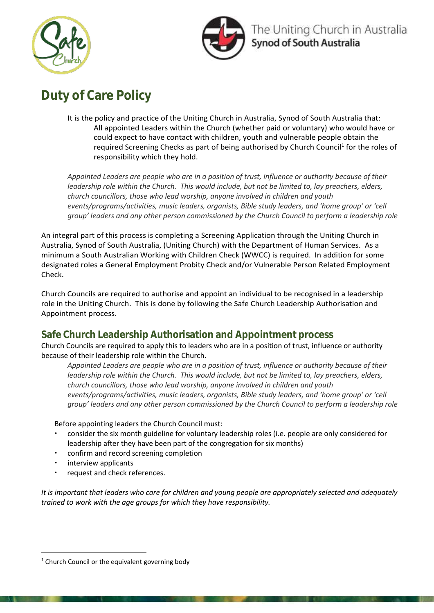



# **Duty of Care Policy**

It is the policy and practice of the Uniting Church in Australia, Synod of South Australia that: All appointed Leaders within the Church (whether paid or voluntary) who would have or could expect to have contact with children, youth and vulnerable people obtain the required Screening Checks as part of being authorised by Church Council<sup>1</sup> for the roles of responsibility which they hold.

*Appointed Leaders are people who are in a position of trust, influence or authority because of their leadership role within the Church. This would include, but not be limited to, lay preachers, elders, church councillors, those who lead worship, anyone involved in children and youth events/programs/activities, music leaders, organists, Bible study leaders, and 'home group' or 'cell group' leaders and any other person commissioned by the Church Council to perform a leadership role*

An integral part of this process is completing a Screening Application through the Uniting Church in Australia, Synod of South Australia, (Uniting Church) with the Department of Human Services. As a minimum a South Australian Working with Children Check (WWCC) is required. In addition for some designated roles a General Employment Probity Check and/or Vulnerable Person Related Employment Check.

Church Councils are required to authorise and appoint an individual to be recognised in a leadership role in the Uniting Church. This is done by following the Safe Church Leadership Authorisation and Appointment process.

## **Safe Church Leadership Authorisation and Appointment process**

Church Councils are required to apply this to leaders who are in a position of trust, influence or authority because of their leadership role within the Church.

*Appointed Leaders are people who are in a position of trust, influence or authority because of their leadership role within the Church. This would include, but not be limited to, lay preachers, elders, church councillors, those who lead worship, anyone involved in children and youth events/programs/activities, music leaders, organists, Bible study leaders, and 'home group' or 'cell group' leaders and any other person commissioned by the Church Council to perform a leadership role*

Before appointing leaders the Church Council must:

- consider the six month guideline for voluntary leadership roles (i.e. people are only considered for leadership after they have been part of the congregation for six months)
- confirm and record screening completion
- interview applicants
- request and check references.

*It is important that leaders who care for children and young people are appropriately selected and adequately trained to work with the age groups for which they have responsibility.*

<sup>-</sup> $1$  Church Council or the equivalent governing body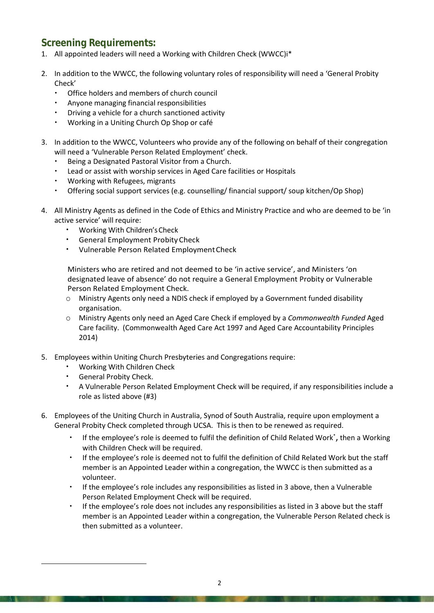#### **Screening Requirements:**

- 1. All appointed leaders will need a Working with Children Check (WWCC)i\*
- 2. In addition to the WWCC, the following voluntary roles of responsibility will need a 'General Probity Check'
	- Office holders and members of church council
	- Anyone managing financial responsibilities
	- Driving a vehicle for a church sanctioned activity
	- Working in a Uniting Church Op Shop or café
- 3. In addition to the WWCC, Volunteers who provide any of the following on behalf of their congregation will need a 'Vulnerable Person Related Employment' check.
	- Being a Designated Pastoral Visitor from a Church.
	- Lead or assist with worship services in Aged Care facilities or Hospitals
	- Working with Refugees, migrants
	- Offering social support services (e.g. counselling/ financial support/ soup kitchen/Op Shop)
- 4. All Ministry Agents as defined in the Code of Ethics and Ministry Practice and who are deemed to be 'in active service' will require:
	- Working With Children'sCheck
	- General Employment Probity Check
	- Vulnerable Person Related EmploymentCheck

Ministers who are retired and not deemed to be 'in active service', and Ministers 'on designated leave of absence' do not require a General Employment Probity or Vulnerable Person Related Employment Check.

- o Ministry Agents only need a NDIS check if employed by a Government funded disability organisation.
- o Ministry Agents only need an Aged Care Check if employed by a *Commonwealth Funded* Aged Care facility. (Commonwealth Aged Care Act 1997 and Aged Care Accountability Principles 2014)
- 5. Employees within Uniting Church Presbyteries and Congregations require:
	- Working With Children Check
	- General Probity Check.

-

- A Vulnerable Person Related Employment Check will be required, if any responsibilities include a role as listed above (#3)
- 6. Employees of the Uniting Church in Australia, Synod of South Australia, require upon employment a General Probity Check completed through UCSA. This is then to be renewed as required.
	- If the employee's role is deemed to fulfil the definition of Child Related Work<sup>\*</sup>, then a Working with Children Check will be required.
	- If the employee's role is deemed not to fulfil the definition of Child Related Work but the staff member is an Appointed Leader within a congregation, the WWCC is then submitted as a volunteer.
	- If the employee's role includes any responsibilities as listed in 3 above, then a Vulnerable Person Related Employment Check will be required.
	- If the employee's role does not includes any responsibilities as listed in 3 above but the staff member is an Appointed Leader within a congregation, the Vulnerable Person Related check is then submitted as a volunteer.